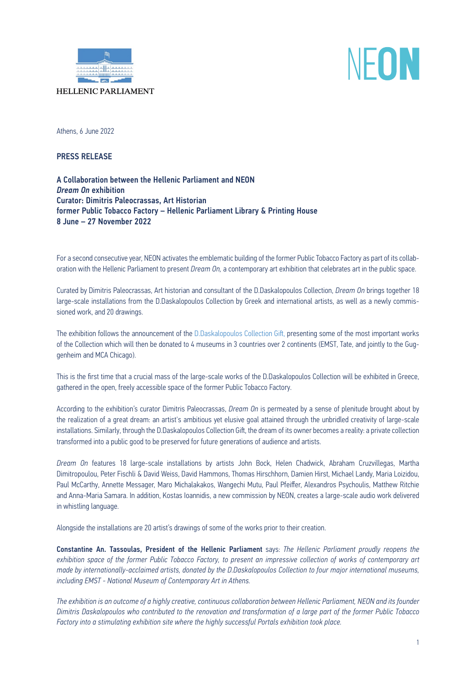

## NFON

**HELLENIC PARLIAMENT** 

Athens, 6 June 2022

PRESS RELEASE

A Collaboration between the Hellenic Parliament and NEON *Dream On* exhibition Curator: Dimitris Paleocrassas, Art Historian former Public Tobacco Factory – Hellenic Parliament Library & Printing House 8 June – 27 November 2022

For a second consecutive year, NEON activates the emblematic building of the former Public Tobacco Factory as part of its collaboration with the Hellenic Parliament to present *Dream On,* a contemporary art exhibition that celebrates art in the public space.

Curated by Dimitris Paleocrassas, Art historian and consultant of the D.Daskalopoulos Collection, *Dream On* brings together 18 large-scale installations from the D.Daskalopoulos Collection by Greek and international artists, as well as a newly commissioned work, and 20 drawings.

The exhibition follows the announcement of the [D.Daskalopoulos Collection Gift,](https://ddcollection.org/en/the-gift/) presenting some of the most important works of the Collection which will then be donated to 4 museums in 3 countries over 2 continents (EMST, Tate, and jointly to the Guggenheim and MCA Chicago).

This is the first time that a crucial mass of the large-scale works of the D.Daskalopoulos Collection will be exhibited in Greece, gathered in the open, freely accessible space of the former Public Tobacco Factory.

According to the exhibition's curator Dimitris Paleocrassas, *Dream On* is permeated by a sense of plenitude brought about by the realization of a great dream: an artist's ambitious yet elusive goal attained through the unbridled creativity of large-scale installations. Similarly, through the D.Daskalopoulos Collection Gift, the dream of its owner becomes a reality: a private collection transformed into a public good to be preserved for future generations of audience and artists.

*Dream On* features 18 large-scale installations by artists John Bock, Helen Chadwick, Abraham Cruzvillegas, Martha Dimitropoulou, Peter Fischli & David Weiss, David Hammons, Thomas Hirschhorn, Damien Hirst, Michael Landy, Maria Loizidou, Paul McCarthy, Annette Messager, Maro Michalakakos, Wangechi Mutu, Paul Pfeiffer, Alexandros Psychoulis, Matthew Ritchie and Anna-Maria Samara. In addition, Kostas Ioannidis, a new commission by NEON, creates a large-scale audio work delivered in whistling language.

Alongside the installations are 20 artist's drawings of some of the works prior to their creation.

Constantine An. Tassoulas, President of the Hellenic Parliament says: *The Hellenic Parliament proudly reopens the exhibition space of the former Public Tobacco Factory, to present an impressive collection of works of contemporary art made by internationally-acclaimed artists, donated by the D.Daskalopoulos Collection to four major international museums, including EMST - National Museum of Contemporary Art in Athens.*

*The exhibition is an outcome of a highly creative, continuous collaboration between Hellenic Parliament, NEON and its founder Dimitris Daskalopoulos who contributed to the renovation and transformation of a large part of the former Public Tobacco Factory into a stimulating exhibition site where the highly successful Portals exhibition took place.*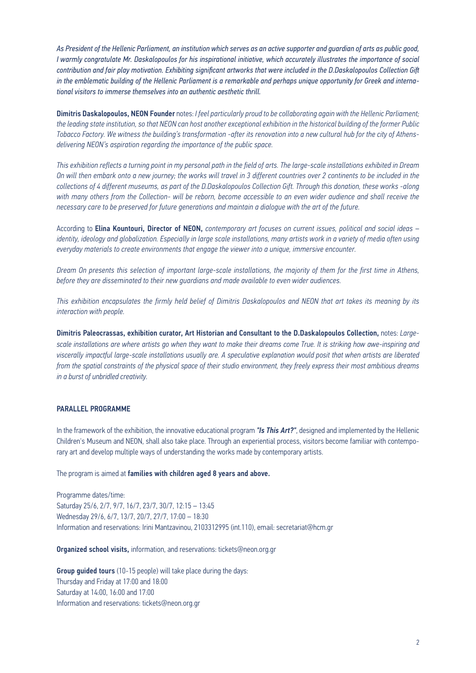*As President of the Hellenic Parliament, an institution which serves as an active supporter and guardian of arts as public good, I warmly congratulate Mr. Daskalopoulos for his inspirational initiative, which accurately illustrates the importance of social contribution and fair play motivation. Exhibiting significant artworks that were included in the D.Daskalopoulos Collection Gift in the emblematic building of the Hellenic Parliament is a remarkable and perhaps unique opportunity for Greek and international visitors to immerse themselves into an authentic aesthetic thrill.*

Dimitris Daskalopoulos, NEON Founder notes: *I feel particularly proud to be collaborating again with the Hellenic Parliament; the leading state institution, so that NEON can host another exceptional exhibition in the historical building of the former Public Tobacco Factory. We witness the building's transformation -after its renovation into a new cultural hub for the city of Athensdelivering NEON's aspiration regarding the importance of the public space.* 

*This exhibition reflects a turning point in my personal path in the field of arts. The large-scale installations exhibited in Dream On will then embark onto a new journey; the works will travel in 3 different countries over 2 continents to be included in the collections of 4 different museums, as part of the D.Daskalopoulos Collection Gift. Through this donation, these works -along with many others from the Collection- will be reborn, become accessible to an even wider audience and shall receive the necessary care to be preserved for future generations and maintain a dialogue with the art of the future.*

According to Elina Kountouri, Director of NEON, *contemporary art focuses on current issues, political and social ideas – identity, ideology and globalization. Especially in large scale installations, many artists work in a variety of media often using everyday materials to create environments that engage the viewer into a unique, immersive encounter.* 

*Dream On presents this selection of important large-scale installations, the majority of them for the first time in Athens, before they are disseminated to their new guardians and made available to even wider audiences.*

*This exhibition encapsulates the firmly held belief of Dimitris Daskalopoulos and NEON that art takes its meaning by its interaction with people.*

Dimitris Paleocrassas, exhibition curator, Art Historian and Consultant to the D.Daskalopoulos Collection, notes: *Largescale installations are where artists go when they want to make their dreams come True. It is striking how awe-inspiring and viscerally impactful large-scale installations usually are. A speculative explanation would posit that when artists are liberated from the spatial constraints of the physical space of their studio environment, they freely express their most ambitious dreams in a burst of unbridled creativity.*

## PARALLEL PROGRAMME

In the framework of the exhibition, the innovative educational program *"Is This Art?"*, designed and implemented by the Hellenic Children's Museum and NEON, shall also take place. Through an experiential process, visitors become familiar with contemporary art and develop multiple ways of understanding the works made by contemporary artists.

The program is aimed at families with children aged 8 years and above.

Programme dates/time: Saturday 25/6, 2/7, 9/7, 16/7, 23/7, 30/7, 12:15 – 13:45 Wednesday 29/6, 6/7, 13/7, 20/7, 27/7, 17:00 – 18:30 Information and reservations: Irini Mantzavinou, 2103312995 (int.110), email: secretariat@hcm.gr

Organized school visits, information, and reservations: tickets@neon.org.gr

Group guided tours (10-15 people) will take place during the days: Thursday and Friday at 17:00 and 18:00 Saturday at 14:00, 16:00 and 17:00 Information and reservations: tickets@neon.org.gr